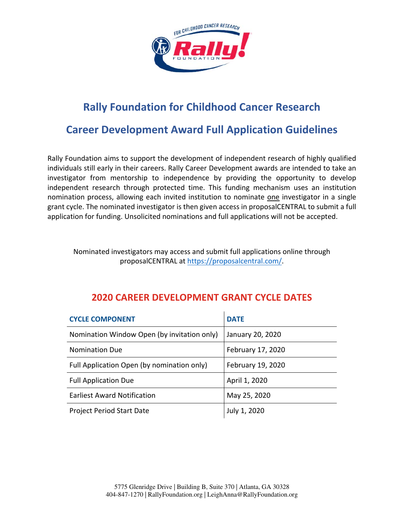

# **Rally Foundation for Childhood Cancer Research**

## **Career Development Award Full Application Guidelines**

Rally Foundation aims to support the development of independent research of highly qualified individuals still early in their careers. Rally Career Development awards are intended to take an investigator from mentorship to independence by providing the opportunity to develop independent research through protected time. This funding mechanism uses an institution nomination process, allowing each invited institution to nominate one investigator in a single grant cycle. The nominated investigator is then given access in proposalCENTRAL to submit a full application for funding. Unsolicited nominations and full applications will not be accepted.

Nominated investigators may access and submit full applications online through proposalCENTRAL at https://proposalcentral.com/.

## **2020 CAREER DEVELOPMENT GRANT CYCLE DATES**

| <b>CYCLE COMPONENT</b>                      | <b>DATE</b>       |
|---------------------------------------------|-------------------|
| Nomination Window Open (by invitation only) | January 20, 2020  |
| <b>Nomination Due</b>                       | February 17, 2020 |
| Full Application Open (by nomination only)  | February 19, 2020 |
| <b>Full Application Due</b>                 | April 1, 2020     |
| <b>Earliest Award Notification</b>          | May 25, 2020      |
| <b>Project Period Start Date</b>            | July 1, 2020      |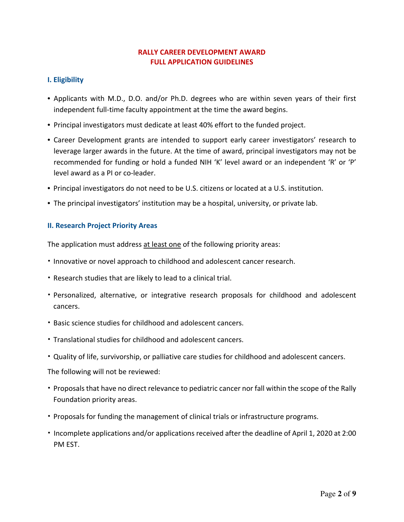## **RALLY CAREER DEVELOPMENT AWARD FULL APPLICATION GUIDELINES**

## **I. Eligibility**

- Applicants with M.D., D.O. and/or Ph.D. degrees who are within seven years of their first independent full-time faculty appointment at the time the award begins.
- Principal investigators must dedicate at least 40% effort to the funded project.
- Career Development grants are intended to support early career investigators' research to leverage larger awards in the future. At the time of award, principal investigators may not be recommended for funding or hold a funded NIH 'K' level award or an independent 'R' or 'P' level award as a PI or co‐leader.
- Principal investigators do not need to be U.S. citizens or located at a U.S. institution.
- The principal investigators' institution may be a hospital, university, or private lab.

#### **II. Research Project Priority Areas**

The application must address at least one of the following priority areas:

- Innovative or novel approach to childhood and adolescent cancer research.
- Research studies that are likely to lead to a clinical trial.
- Personalized, alternative, or integrative research proposals for childhood and adolescent cancers.
- Basic science studies for childhood and adolescent cancers.
- Translational studies for childhood and adolescent cancers.
- Quality of life, survivorship, or palliative care studies for childhood and adolescent cancers.

The following will not be reviewed:

- Proposals that have no direct relevance to pediatric cancer nor fall within the scope of the Rally Foundation priority areas.
- Proposals for funding the management of clinical trials or infrastructure programs.
- Incomplete applications and/or applications received after the deadline of April 1, 2020 at 2:00 PM EST.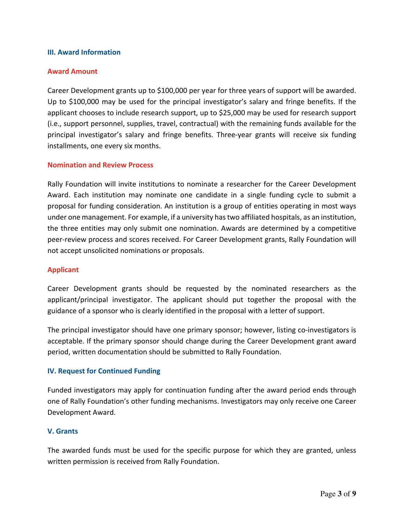#### **III. Award Information**

#### **Award Amount**

Career Development grants up to \$100,000 per year for three years of support will be awarded. Up to \$100,000 may be used for the principal investigator's salary and fringe benefits. If the applicant chooses to include research support, up to \$25,000 may be used for research support (i.e., support personnel, supplies, travel, contractual) with the remaining funds available for the principal investigator's salary and fringe benefits. Three-year grants will receive six funding installments, one every six months.

#### **Nomination and Review Process**

Rally Foundation will invite institutions to nominate a researcher for the Career Development Award. Each institution may nominate one candidate in a single funding cycle to submit a proposal for funding consideration. An institution is a group of entities operating in most ways under one management. For example, if a university has two affiliated hospitals, as an institution, the three entities may only submit one nomination. Awards are determined by a competitive peer-review process and scores received. For Career Development grants, Rally Foundation will not accept unsolicited nominations or proposals.

#### **Applicant**

Career Development grants should be requested by the nominated researchers as the applicant/principal investigator. The applicant should put together the proposal with the guidance of a sponsor who is clearly identified in the proposal with a letter of support.

The principal investigator should have one primary sponsor; however, listing co-investigators is acceptable. If the primary sponsor should change during the Career Development grant award period, written documentation should be submitted to Rally Foundation.

#### **IV. Request for Continued Funding**

Funded investigators may apply for continuation funding after the award period ends through one of Rally Foundation's other funding mechanisms. Investigators may only receive one Career Development Award.

#### **V. Grants**

The awarded funds must be used for the specific purpose for which they are granted, unless written permission is received from Rally Foundation.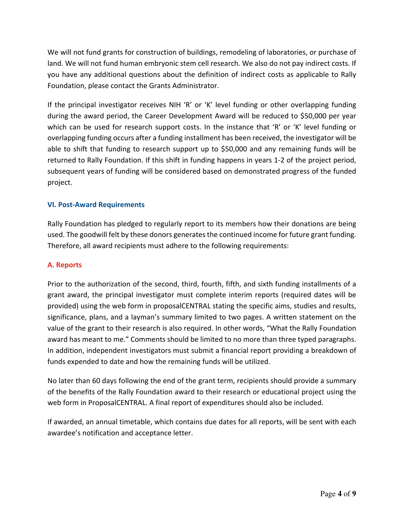We will not fund grants for construction of buildings, remodeling of laboratories, or purchase of land. We will not fund human embryonic stem cell research. We also do not pay indirect costs. If you have any additional questions about the definition of indirect costs as applicable to Rally Foundation, please contact the Grants Administrator.

If the principal investigator receives NIH 'R' or 'K' level funding or other overlapping funding during the award period, the Career Development Award will be reduced to \$50,000 per year which can be used for research support costs. In the instance that 'R' or 'K' level funding or overlapping funding occurs after a funding installment has been received, the investigator will be able to shift that funding to research support up to \$50,000 and any remaining funds will be returned to Rally Foundation. If this shift in funding happens in years 1‐2 of the project period, subsequent years of funding will be considered based on demonstrated progress of the funded project.

## **VI. Post‐Award Requirements**

Rally Foundation has pledged to regularly report to its members how their donations are being used. The goodwill felt by these donors generatesthe continued income for future grant funding. Therefore, all award recipients must adhere to the following requirements:

## **A. Reports**

Prior to the authorization of the second, third, fourth, fifth, and sixth funding installments of a grant award, the principal investigator must complete interim reports (required dates will be provided) using the web form in proposalCENTRAL stating the specific aims, studies and results, significance, plans, and a layman's summary limited to two pages. A written statement on the value of the grant to their research is also required. In other words, "What the Rally Foundation award has meant to me." Comments should be limited to no more than three typed paragraphs. In addition, independent investigators must submit a financial report providing a breakdown of funds expended to date and how the remaining funds will be utilized.

No later than 60 days following the end of the grant term, recipients should provide a summary of the benefits of the Rally Foundation award to their research or educational project using the web form in ProposalCENTRAL. A final report of expenditures should also be included.

If awarded, an annual timetable, which contains due dates for all reports, will be sent with each awardee's notification and acceptance letter.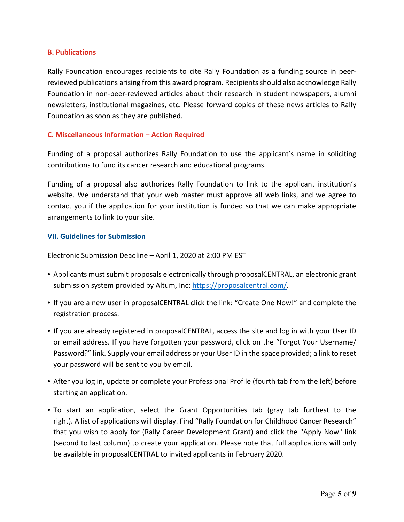#### **B. Publications**

Rally Foundation encourages recipients to cite Rally Foundation as a funding source in peer‐ reviewed publications arising from this award program. Recipientsshould also acknowledge Rally Foundation in non‐peer‐reviewed articles about their research in student newspapers, alumni newsletters, institutional magazines, etc. Please forward copies of these news articles to Rally Foundation as soon as they are published.

#### **C. Miscellaneous Information – Action Required**

Funding of a proposal authorizes Rally Foundation to use the applicant's name in soliciting contributions to fund its cancer research and educational programs.

Funding of a proposal also authorizes Rally Foundation to link to the applicant institution's website. We understand that your web master must approve all web links, and we agree to contact you if the application for your institution is funded so that we can make appropriate arrangements to link to your site.

#### **VII. Guidelines for Submission**

Electronic Submission Deadline – April 1, 2020 at 2:00 PM EST

- Applicants must submit proposals electronically through proposalCENTRAL, an electronic grant submission system provided by Altum, Inc: https://proposalcentral.com/.
- If you are a new user in proposalCENTRAL click the link: "Create One Now!" and complete the registration process.
- If you are already registered in proposalCENTRAL, access the site and log in with your User ID or email address. If you have forgotten your password, click on the "Forgot Your Username/ Password?" link. Supply your email address or your User ID in the space provided; a link to reset your password will be sent to you by email.
- After you log in, update or complete your Professional Profile (fourth tab from the left) before starting an application.
- To start an application, select the Grant Opportunities tab (gray tab furthest to the right). A list of applications will display. Find "Rally Foundation for Childhood Cancer Research" that you wish to apply for (Rally Career Development Grant) and click the "Apply Now" link (second to last column) to create your application. Please note that full applications will only be available in proposalCENTRAL to invited applicants in February 2020.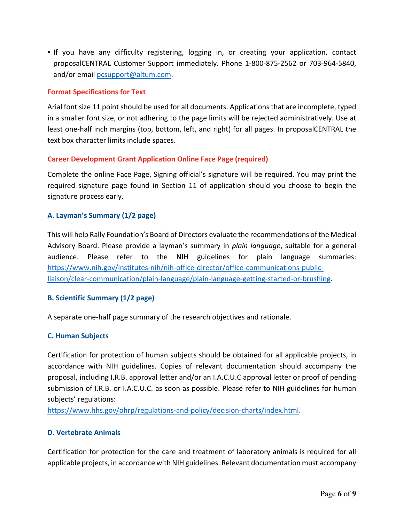• If you have any difficulty registering, logging in, or creating your application, contact proposalCENTRAL Customer Support immediately. Phone 1‐800‐875‐2562 or 703‐964‐5840, and/or email pcsupport@altum.com.

### **Format Specifications for Text**

Arial font size 11 point should be used for all documents. Applications that are incomplete, typed in a smaller font size, or not adhering to the page limits will be rejected administratively. Use at least one-half inch margins (top, bottom, left, and right) for all pages. In proposalCENTRAL the text box character limits include spaces.

## **Career Development Grant Application Online Face Page (required)**

Complete the online Face Page. Signing official's signature will be required. You may print the required signature page found in Section 11 of application should you choose to begin the signature process early.

## **A. Layman's Summary (1/2 page)**

This will help Rally Foundation's Board of Directors evaluate the recommendations of the Medical Advisory Board. Please provide a layman's summary in *plain language*, suitable for a general audience. Please refer to the NIH guidelines for plain language summaries: https://www.nih.gov/institutes‐nih/nih‐office‐director/office‐communications‐public‐ liaison/clear‐communication/plain‐language/plain‐language‐getting‐started‐or‐brushing.

#### **B. Scientific Summary (1/2 page)**

A separate one‐half page summary of the research objectives and rationale.

#### **C. Human Subjects**

Certification for protection of human subjects should be obtained for all applicable projects, in accordance with NIH guidelines. Copies of relevant documentation should accompany the proposal, including I.R.B. approval letter and/or an I.A.C.U.C approval letter or proof of pending submission of I.R.B. or I.A.C.U.C. as soon as possible. Please refer to NIH guidelines for human subjects' regulations:

https://www.hhs.gov/ohrp/regulations‐and‐policy/decision‐charts/index.html.

#### **D. Vertebrate Animals**

Certification for protection for the care and treatment of laboratory animals is required for all applicable projects, in accordance with NIH guidelines. Relevant documentation must accompany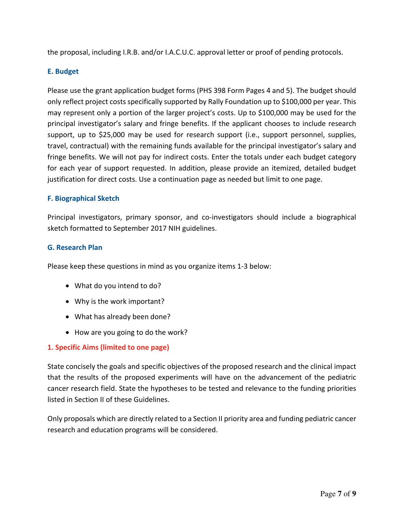the proposal, including I.R.B. and/or I.A.C.U.C. approval letter or proof of pending protocols.

## **E. Budget**

Please use the grant application budget forms (PHS 398 Form Pages 4 and 5). The budget should only reflect project costsspecifically supported by Rally Foundation up to \$100,000 per year. This may represent only a portion of the larger project's costs. Up to \$100,000 may be used for the principal investigator's salary and fringe benefits. If the applicant chooses to include research support, up to \$25,000 may be used for research support (i.e., support personnel, supplies, travel, contractual) with the remaining funds available for the principal investigator's salary and fringe benefits. We will not pay for indirect costs. Enter the totals under each budget category for each year of support requested. In addition, please provide an itemized, detailed budget justification for direct costs. Use a continuation page as needed but limit to one page.

## **F. Biographical Sketch**

Principal investigators, primary sponsor, and co-investigators should include a biographical sketch formatted to September 2017 NIH guidelines.

#### **G. Research Plan**

Please keep these questions in mind as you organize items 1‐3 below:

- What do you intend to do?
- Why is the work important?
- What has already been done?
- How are you going to do the work?

## **1. Specific Aims (limited to one page)**

State concisely the goals and specific objectives of the proposed research and the clinical impact that the results of the proposed experiments will have on the advancement of the pediatric cancer research field. State the hypotheses to be tested and relevance to the funding priorities listed in Section II of these Guidelines.

Only proposals which are directly related to a Section II priority area and funding pediatric cancer research and education programs will be considered.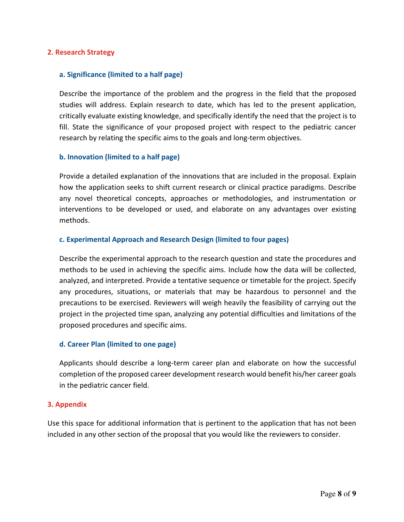#### **2. Research Strategy**

#### **a. Significance (limited to a half page)**

Describe the importance of the problem and the progress in the field that the proposed studies will address. Explain research to date, which has led to the present application, critically evaluate existing knowledge, and specifically identify the need that the project is to fill. State the significance of your proposed project with respect to the pediatric cancer research by relating the specific aims to the goals and long-term objectives.

#### **b. Innovation (limited to a half page)**

Provide a detailed explanation of the innovations that are included in the proposal. Explain how the application seeks to shift current research or clinical practice paradigms. Describe any novel theoretical concepts, approaches or methodologies, and instrumentation or interventions to be developed or used, and elaborate on any advantages over existing methods.

#### **c. Experimental Approach and Research Design (limited to four pages)**

Describe the experimental approach to the research question and state the procedures and methods to be used in achieving the specific aims. Include how the data will be collected, analyzed, and interpreted. Provide a tentative sequence or timetable for the project. Specify any procedures, situations, or materials that may be hazardous to personnel and the precautions to be exercised. Reviewers will weigh heavily the feasibility of carrying out the project in the projected time span, analyzing any potential difficulties and limitations of the proposed procedures and specific aims.

#### **d. Career Plan (limited to one page)**

Applicants should describe a long‐term career plan and elaborate on how the successful completion of the proposed career development research would benefit his/her career goals in the pediatric cancer field.

#### **3. Appendix**

Use this space for additional information that is pertinent to the application that has not been included in any other section of the proposal that you would like the reviewers to consider.